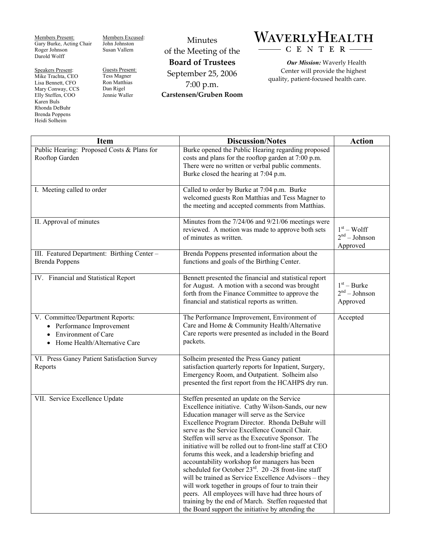Members Present: Gary Burke, Acting Chair Roger Johnson Darold Wolff

Speakers Present: Mike Trachta, CEO Lisa Bennett, CFO Mary Conway, CCS Elly Steffen, COO Karen Buls Rhonda DeBuhr Brenda Poppens Heidi Solheim

Members Excused: John Johnston Susan Vallem

Guests Present: Tess Magner Ron Matthias Dan Rigel Jennie Waller

Minutes of the Meeting of the **Board of Trustees**  September 25, 2006 7:00 p.m. **Carstensen/Gruben Room** 

## WAVERLYHEALTH  $- C E N T E R$

*Our Mission:* Waverly Health Center will provide the highest quality, patient-focused health care.

| <b>Item</b>                                                                                                                 | <b>Discussion/Notes</b>                                                                                                                                                                                                                                                                                                                                                                                                                                                                                                                                                                                                                                                                                                                                                                                                        | <b>Action</b>                                |
|-----------------------------------------------------------------------------------------------------------------------------|--------------------------------------------------------------------------------------------------------------------------------------------------------------------------------------------------------------------------------------------------------------------------------------------------------------------------------------------------------------------------------------------------------------------------------------------------------------------------------------------------------------------------------------------------------------------------------------------------------------------------------------------------------------------------------------------------------------------------------------------------------------------------------------------------------------------------------|----------------------------------------------|
| Public Hearing: Proposed Costs & Plans for<br>Rooftop Garden                                                                | Burke opened the Public Hearing regarding proposed<br>costs and plans for the rooftop garden at 7:00 p.m.<br>There were no written or verbal public comments.<br>Burke closed the hearing at 7:04 p.m.                                                                                                                                                                                                                                                                                                                                                                                                                                                                                                                                                                                                                         |                                              |
| I. Meeting called to order                                                                                                  | Called to order by Burke at 7:04 p.m. Burke<br>welcomed guests Ron Matthias and Tess Magner to<br>the meeting and accepted comments from Matthias.                                                                                                                                                                                                                                                                                                                                                                                                                                                                                                                                                                                                                                                                             |                                              |
| II. Approval of minutes                                                                                                     | Minutes from the 7/24/06 and 9/21/06 meetings were<br>reviewed. A motion was made to approve both sets<br>of minutes as written.                                                                                                                                                                                                                                                                                                                                                                                                                                                                                                                                                                                                                                                                                               | $1st - Wolf$<br>$2nd - Johnson$<br>Approved  |
| III. Featured Department: Birthing Center -<br><b>Brenda Poppens</b>                                                        | Brenda Poppens presented information about the<br>functions and goals of the Birthing Center.                                                                                                                                                                                                                                                                                                                                                                                                                                                                                                                                                                                                                                                                                                                                  |                                              |
| IV. Financial and Statistical Report                                                                                        | Bennett presented the financial and statistical report<br>for August. A motion with a second was brought<br>forth from the Finance Committee to approve the<br>financial and statistical reports as written.                                                                                                                                                                                                                                                                                                                                                                                                                                                                                                                                                                                                                   | $1st - Burke$<br>$2nd - Johnson$<br>Approved |
| V. Committee/Department Reports:<br>• Performance Improvement<br><b>Environment of Care</b><br>Home Health/Alternative Care | The Performance Improvement, Environment of<br>Care and Home & Community Health/Alternative<br>Care reports were presented as included in the Board<br>packets.                                                                                                                                                                                                                                                                                                                                                                                                                                                                                                                                                                                                                                                                | Accepted                                     |
| VI. Press Ganey Patient Satisfaction Survey<br>Reports                                                                      | Solheim presented the Press Ganey patient<br>satisfaction quarterly reports for Inpatient, Surgery,<br>Emergency Room, and Outpatient. Solheim also<br>presented the first report from the HCAHPS dry run.                                                                                                                                                                                                                                                                                                                                                                                                                                                                                                                                                                                                                     |                                              |
| VII. Service Excellence Update                                                                                              | Steffen presented an update on the Service<br>Excellence initiative. Cathy Wilson-Sands, our new<br>Education manager will serve as the Service<br>Excellence Program Director. Rhonda DeBuhr will<br>serve as the Service Excellence Council Chair.<br>Steffen will serve as the Executive Sponsor. The<br>initiative will be rolled out to front-line staff at CEO<br>forums this week, and a leadership briefing and<br>accountability workshop for managers has been<br>scheduled for October 23 <sup>rd</sup> . 20 -28 front-line staff<br>will be trained as Service Excellence Advisors - they<br>will work together in groups of four to train their<br>peers. All employees will have had three hours of<br>training by the end of March. Steffen requested that<br>the Board support the initiative by attending the |                                              |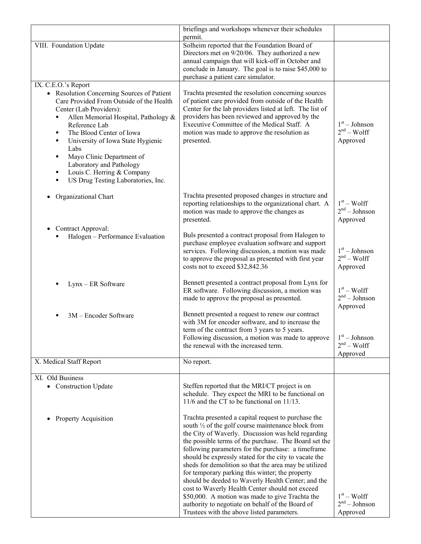|                                                                                                                                                                                                                                                                                                                                                                                  | briefings and workshops whenever their schedules<br>permit.                                                                                                                                                                                                                                                                            |                                             |
|----------------------------------------------------------------------------------------------------------------------------------------------------------------------------------------------------------------------------------------------------------------------------------------------------------------------------------------------------------------------------------|----------------------------------------------------------------------------------------------------------------------------------------------------------------------------------------------------------------------------------------------------------------------------------------------------------------------------------------|---------------------------------------------|
| VIII. Foundation Update                                                                                                                                                                                                                                                                                                                                                          | Solheim reported that the Foundation Board of                                                                                                                                                                                                                                                                                          |                                             |
|                                                                                                                                                                                                                                                                                                                                                                                  | Directors met on 9/20/06. They authorized a new<br>annual campaign that will kick-off in October and                                                                                                                                                                                                                                   |                                             |
|                                                                                                                                                                                                                                                                                                                                                                                  | conclude in January. The goal is to raise \$45,000 to                                                                                                                                                                                                                                                                                  |                                             |
| IX. C.E.O.'s Report                                                                                                                                                                                                                                                                                                                                                              | purchase a patient care simulator.                                                                                                                                                                                                                                                                                                     |                                             |
| • Resolution Concerning Sources of Patient<br>Care Provided From Outside of the Health<br>Center (Lab Providers):<br>Allen Memorial Hospital, Pathology &<br>٠<br>Reference Lab<br>The Blood Center of Iowa<br>$\blacksquare$<br>University of Iowa State Hygienic<br>٠<br>Labs<br>Mayo Clinic Department of<br>٠<br>Laboratory and Pathology<br>Louis C. Herring & Company<br>٠ | Trachta presented the resolution concerning sources<br>of patient care provided from outside of the Health<br>Center for the lab providers listed at left. The list of<br>providers has been reviewed and approved by the<br>Executive Committee of the Medical Staff. A<br>motion was made to approve the resolution as<br>presented. | $1st - Johnson$<br>$2nd - Wolf$<br>Approved |
| US Drug Testing Laboratories, Inc.<br>$\blacksquare$                                                                                                                                                                                                                                                                                                                             |                                                                                                                                                                                                                                                                                                                                        |                                             |
| Organizational Chart                                                                                                                                                                                                                                                                                                                                                             | Trachta presented proposed changes in structure and<br>reporting relationships to the organizational chart. A<br>motion was made to approve the changes as<br>presented.                                                                                                                                                               | $1st - Wolf$<br>$2nd - Johnson$<br>Approved |
| Contract Approval:<br>Halogen - Performance Evaluation                                                                                                                                                                                                                                                                                                                           | Buls presented a contract proposal from Halogen to<br>purchase employee evaluation software and support<br>services. Following discussion, a motion was made<br>to approve the proposal as presented with first year                                                                                                                   | $1st - Johnson$<br>$2nd - Wolf$             |
|                                                                                                                                                                                                                                                                                                                                                                                  | costs not to exceed \$32,842.36                                                                                                                                                                                                                                                                                                        | Approved                                    |
| Lynx - ER Software                                                                                                                                                                                                                                                                                                                                                               | Bennett presented a contract proposal from Lynx for<br>ER software. Following discussion, a motion was<br>made to approve the proposal as presented.                                                                                                                                                                                   | $1st - Wolf$<br>$2nd - Johnson$<br>Approved |
| 3M - Encoder Software<br>٠                                                                                                                                                                                                                                                                                                                                                       | Bennett presented a request to renew our contract<br>with 3M for encoder software, and to increase the<br>term of the contract from 3 years to 5 years.                                                                                                                                                                                |                                             |
|                                                                                                                                                                                                                                                                                                                                                                                  | Following discussion, a motion was made to approve<br>the renewal with the increased term.                                                                                                                                                                                                                                             | $1st - Johnson$<br>$2nd - Wolf$<br>Approved |
| X. Medical Staff Report                                                                                                                                                                                                                                                                                                                                                          | No report.                                                                                                                                                                                                                                                                                                                             |                                             |
| XI. Old Business                                                                                                                                                                                                                                                                                                                                                                 |                                                                                                                                                                                                                                                                                                                                        |                                             |
| • Construction Update                                                                                                                                                                                                                                                                                                                                                            | Steffen reported that the MRI/CT project is on<br>schedule. They expect the MRI to be functional on<br>$11/6$ and the CT to be functional on $11/13$ .                                                                                                                                                                                 |                                             |
| Property Acquisition                                                                                                                                                                                                                                                                                                                                                             | Trachta presented a capital request to purchase the<br>south $\frac{1}{2}$ of the golf course maintenance block from<br>the City of Waverly. Discussion was held regarding                                                                                                                                                             |                                             |
|                                                                                                                                                                                                                                                                                                                                                                                  | the possible terms of the purchase. The Board set the<br>following parameters for the purchase: a timeframe<br>should be expressly stated for the city to vacate the                                                                                                                                                                   |                                             |
|                                                                                                                                                                                                                                                                                                                                                                                  | sheds for demolition so that the area may be utilized<br>for temporary parking this winter; the property<br>should be deeded to Waverly Health Center; and the<br>cost to Waverly Health Center should not exceed                                                                                                                      |                                             |
|                                                                                                                                                                                                                                                                                                                                                                                  | \$50,000. A motion was made to give Trachta the<br>authority to negotiate on behalf of the Board of<br>Trustees with the above listed parameters.                                                                                                                                                                                      | $1st - Wolf$<br>$2nd - Johnson$<br>Approved |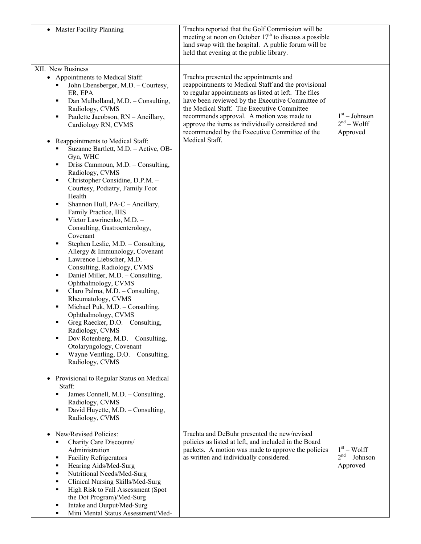| <b>Master Facility Planning</b><br>$\bullet$                                                                                                                                                                                                                                                                                                                                                                                                                                                                                                                                                                                                                                                                                                                                                                                                                                                                                                                                                                                                                                                                                                                                                                                                                                                                                                                                  | Trachta reported that the Golf Commission will be<br>meeting at noon on October $17th$ to discuss a possible<br>land swap with the hospital. A public forum will be<br>held that evening at the public library.                                                                                                                                                                                                             |                                             |
|-------------------------------------------------------------------------------------------------------------------------------------------------------------------------------------------------------------------------------------------------------------------------------------------------------------------------------------------------------------------------------------------------------------------------------------------------------------------------------------------------------------------------------------------------------------------------------------------------------------------------------------------------------------------------------------------------------------------------------------------------------------------------------------------------------------------------------------------------------------------------------------------------------------------------------------------------------------------------------------------------------------------------------------------------------------------------------------------------------------------------------------------------------------------------------------------------------------------------------------------------------------------------------------------------------------------------------------------------------------------------------|-----------------------------------------------------------------------------------------------------------------------------------------------------------------------------------------------------------------------------------------------------------------------------------------------------------------------------------------------------------------------------------------------------------------------------|---------------------------------------------|
| XII. New Business<br>• Appointments to Medical Staff:<br>John Ebensberger, M.D. - Courtesy,<br>٠<br>ER, EPA<br>Dan Mulholland, M.D. - Consulting,<br>٠<br>Radiology, CVMS<br>Paulette Jacobson, RN - Ancillary,<br>٠<br>Cardiology RN, CVMS<br>Reappointments to Medical Staff:<br>$\bullet$<br>Suzanne Bartlett, M.D. - Active, OB-<br>٠<br>Gyn, WHC<br>Driss Cammoun, M.D. - Consulting,<br>п<br>Radiology, CVMS<br>Christopher Considine, D.P.M. -<br>٠<br>Courtesy, Podiatry, Family Foot<br>Health<br>Shannon Hull, PA-C - Ancillary,<br>п<br>Family Practice, IHS<br>Victor Lawrinenko, M.D. -<br>٠<br>Consulting, Gastroenterology,<br>Covenant<br>Stephen Leslie, M.D. - Consulting,<br>п<br>Allergy & Immunology, Covenant<br>Lawrence Liebscher, M.D. -<br>п<br>Consulting, Radiology, CVMS<br>Daniel Miller, M.D. - Consulting,<br>٠<br>Ophthalmology, CVMS<br>Claro Palma, M.D. - Consulting,<br>٠<br>Rheumatology, CVMS<br>Michael Puk, M.D. - Consulting,<br>٠<br>Ophthalmology, CVMS<br>Greg Raecker, D.O. - Consulting,<br>٠<br>Radiology, CVMS<br>Dov Rotenberg, M.D. - Consulting,<br>٠<br>Otolaryngology, Covenant<br>Wayne Ventling, D.O. - Consulting,<br>٠<br>Radiology, CVMS<br>Provisional to Regular Status on Medical<br>$\bullet$<br>Staff:<br>James Connell, M.D. - Consulting,<br>٠<br>Radiology, CVMS<br>David Huyette, M.D. - Consulting,<br>٠ | Trachta presented the appointments and<br>reappointments to Medical Staff and the provisional<br>to regular appointments as listed at left. The files<br>have been reviewed by the Executive Committee of<br>the Medical Staff. The Executive Committee<br>recommends approval. A motion was made to<br>approve the items as individually considered and<br>recommended by the Executive Committee of the<br>Medical Staff. | $1st - Johnson$<br>$2nd - Wolf$<br>Approved |
| Radiology, CVMS<br>New/Revised Policies:<br>$\bullet$<br>Charity Care Discounts/<br>٠<br>Administration<br><b>Facility Refrigerators</b><br>٠<br>Hearing Aids/Med-Surg<br>٠<br>Nutritional Needs/Med-Surg<br>٠<br>Clinical Nursing Skills/Med-Surg<br>٠<br>High Risk to Fall Assessment (Spot<br>٠<br>the Dot Program)/Med-Surg<br>Intake and Output/Med-Surg<br>٠<br>Mini Mental Status Assessment/Med-<br>٠                                                                                                                                                                                                                                                                                                                                                                                                                                                                                                                                                                                                                                                                                                                                                                                                                                                                                                                                                                 | Trachta and DeBuhr presented the new/revised<br>policies as listed at left, and included in the Board<br>packets. A motion was made to approve the policies<br>as written and individually considered.                                                                                                                                                                                                                      | $1st - Wolf$<br>$2nd - Johnson$<br>Approved |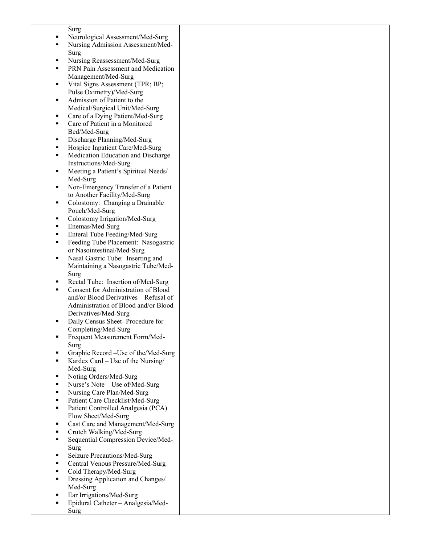|   | Surg                                       |  |
|---|--------------------------------------------|--|
|   |                                            |  |
|   | Neurological Assessment/Med-Surg           |  |
| ٠ | Nursing Admission Assessment/Med-          |  |
|   |                                            |  |
|   | Surg                                       |  |
| ٠ | Nursing Reassessment/Med-Surg              |  |
| ٠ | PRN Pain Assessment and Medication         |  |
|   |                                            |  |
|   | Management/Med-Surg                        |  |
| ٠ | Vital Signs Assessment (TPR; BP;           |  |
|   | Pulse Oximetry)/Med-Surg                   |  |
| ٠ | Admission of Patient to the                |  |
|   |                                            |  |
|   | Medical/Surgical Unit/Med-Surg             |  |
| ٠ | Care of a Dying Patient/Med-Surg           |  |
| ٠ | Care of Patient in a Monitored             |  |
|   |                                            |  |
|   | Bed/Med-Surg                               |  |
| ٠ | Discharge Planning/Med-Surg                |  |
| ٠ | Hospice Inpatient Care/Med-Surg            |  |
| ٠ |                                            |  |
|   | Medication Education and Discharge         |  |
|   | Instructions/Med-Surg                      |  |
| ٠ | Meeting a Patient's Spiritual Needs/       |  |
|   | Med-Surg                                   |  |
|   |                                            |  |
| ٠ | Non-Emergency Transfer of a Patient        |  |
|   | to Another Facility/Med-Surg               |  |
| ٠ | Colostomy: Changing a Drainable            |  |
|   |                                            |  |
|   | Pouch/Med-Surg                             |  |
| ٠ | Colostomy Irrigation/Med-Surg              |  |
| ٠ | Enemas/Med-Surg                            |  |
| ٠ | Enteral Tube Feeding/Med-Surg              |  |
|   |                                            |  |
| ٠ | Feeding Tube Placement: Nasogastric        |  |
|   | or Nasointestinal/Med-Surg                 |  |
| ٠ | Nasal Gastric Tube: Inserting and          |  |
|   |                                            |  |
|   | Maintaining a Nasogastric Tube/Med-        |  |
|   | Surg                                       |  |
| ٠ | Rectal Tube: Insertion of/Med-Surg         |  |
|   |                                            |  |
| ٠ | <b>Consent for Administration of Blood</b> |  |
|   | and/or Blood Derivatives - Refusal of      |  |
|   | Administration of Blood and/or Blood       |  |
|   | Derivatives/Med-Surg                       |  |
|   |                                            |  |
|   | Daily Census Sheet-Procedure for           |  |
|   | Completing/Med-Surg                        |  |
| ٠ | Frequent Measurement Form/Med-             |  |
|   |                                            |  |
|   | Surg                                       |  |
| ٠ | Graphic Record - Use of the/Med-Surg       |  |
| ٠ | Kardex Card – Use of the Nursing/          |  |
|   |                                            |  |
|   | Med-Surg                                   |  |
| ٠ | Noting Orders/Med-Surg                     |  |
| ٠ | Nurse's Note - Use of/Med-Surg             |  |
| ٠ | Nursing Care Plan/Med-Surg                 |  |
|   |                                            |  |
| ٠ | Patient Care Checklist/Med-Surg            |  |
| ٠ | Patient Controlled Analgesia (PCA)         |  |
|   | Flow Sheet/Med-Surg                        |  |
| ٠ | Cast Care and Management/Med-Surg          |  |
|   |                                            |  |
| ٠ | Crutch Walking/Med-Surg                    |  |
| ٠ | Sequential Compression Device/Med-         |  |
|   |                                            |  |
|   | Surg                                       |  |
| ٠ | Seizure Precautions/Med-Surg               |  |
| ٠ | Central Venous Pressure/Med-Surg           |  |
| ٠ | Cold Therapy/Med-Surg                      |  |
|   |                                            |  |
| ٠ | Dressing Application and Changes/          |  |
|   | Med-Surg                                   |  |
|   | Ear Irrigations/Med-Surg                   |  |
|   |                                            |  |
|   | Epidural Catheter - Analgesia/Med-         |  |
|   | Surg                                       |  |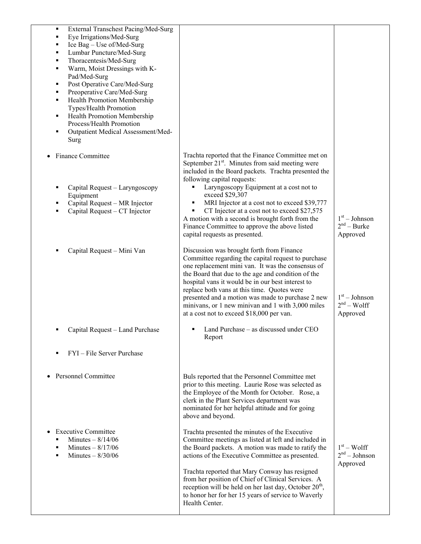| External Transchest Pacing/Med-Surg<br>٠        |                                                                    |                 |
|-------------------------------------------------|--------------------------------------------------------------------|-----------------|
| Eye Irrigations/Med-Surg                        |                                                                    |                 |
| Ice Bag - Use of/Med-Surg                       |                                                                    |                 |
| Lumbar Puncture/Med-Surg                        |                                                                    |                 |
| Thoracentesis/Med-Surg                          |                                                                    |                 |
| Warm, Moist Dressings with K-<br>$\blacksquare$ |                                                                    |                 |
| Pad/Med-Surg                                    |                                                                    |                 |
| Post Operative Care/Med-Surg<br>٠               |                                                                    |                 |
| Preoperative Care/Med-Surg                      |                                                                    |                 |
| Health Promotion Membership<br>п                |                                                                    |                 |
| Types/Health Promotion                          |                                                                    |                 |
| Health Promotion Membership<br>٠                |                                                                    |                 |
| Process/Health Promotion                        |                                                                    |                 |
| Outpatient Medical Assessment/Med-<br>п         |                                                                    |                 |
| Surg                                            |                                                                    |                 |
|                                                 | Trachta reported that the Finance Committee met on                 |                 |
| <b>Finance Committee</b>                        | September 21 <sup>st</sup> . Minutes from said meeting were        |                 |
|                                                 | included in the Board packets. Trachta presented the               |                 |
|                                                 | following capital requests:                                        |                 |
|                                                 | Laryngoscopy Equipment at a cost not to<br>٠                       |                 |
| Capital Request - Laryngoscopy<br>Equipment     | exceed \$29,307                                                    |                 |
| Capital Request - MR Injector                   | MRI Injector at a cost not to exceed \$39,777<br>٠                 |                 |
| Capital Request – CT Injector                   | CT Injector at a cost not to exceed \$27,575                       |                 |
|                                                 | A motion with a second is brought forth from the                   | $1st - Johnson$ |
|                                                 | Finance Committee to approve the above listed                      | $2nd - Burke$   |
|                                                 | capital requests as presented.                                     | Approved        |
|                                                 |                                                                    |                 |
| Capital Request - Mini Van                      | Discussion was brought forth from Finance                          |                 |
|                                                 | Committee regarding the capital request to purchase                |                 |
|                                                 | one replacement mini van. It was the consensus of                  |                 |
|                                                 | the Board that due to the age and condition of the                 |                 |
|                                                 | hospital vans it would be in our best interest to                  |                 |
|                                                 | replace both vans at this time. Quotes were                        |                 |
|                                                 | presented and a motion was made to purchase 2 new                  | $1st - Johnson$ |
|                                                 | minivans, or 1 new minivan and 1 with 3,000 miles                  | $2nd - Wolf$    |
|                                                 | at a cost not to exceed \$18,000 per van.                          | Approved        |
|                                                 |                                                                    |                 |
| Capital Request - Land Purchase                 | Land Purchase – as discussed under CEO<br>Report                   |                 |
|                                                 |                                                                    |                 |
| FYI - File Server Purchase<br>٠                 |                                                                    |                 |
|                                                 |                                                                    |                 |
|                                                 |                                                                    |                 |
| <b>Personnel Committee</b>                      | Buls reported that the Personnel Committee met                     |                 |
|                                                 | prior to this meeting. Laurie Rose was selected as                 |                 |
|                                                 | the Employee of the Month for October. Rose, a                     |                 |
|                                                 | clerk in the Plant Services department was                         |                 |
|                                                 | nominated for her helpful attitude and for going                   |                 |
|                                                 | above and beyond.                                                  |                 |
| <b>Executive Committee</b>                      | Trachta presented the minutes of the Executive                     |                 |
| Minutes $-8/14/06$                              | Committee meetings as listed at left and included in               |                 |
| Minutes $- 8/17/06$                             | the Board packets. A motion was made to ratify the                 | $1st - Wolf$    |
| Minutes $-$ 8/30/06                             | actions of the Executive Committee as presented.                   | $2nd - Johnson$ |
|                                                 |                                                                    | Approved        |
|                                                 | Trachta reported that Mary Conway has resigned                     |                 |
|                                                 | from her position of Chief of Clinical Services. A                 |                 |
|                                                 | reception will be held on her last day, October 20 <sup>th</sup> , |                 |
|                                                 | to honor her for her 15 years of service to Waverly                |                 |
|                                                 | Health Center.                                                     |                 |
|                                                 |                                                                    |                 |